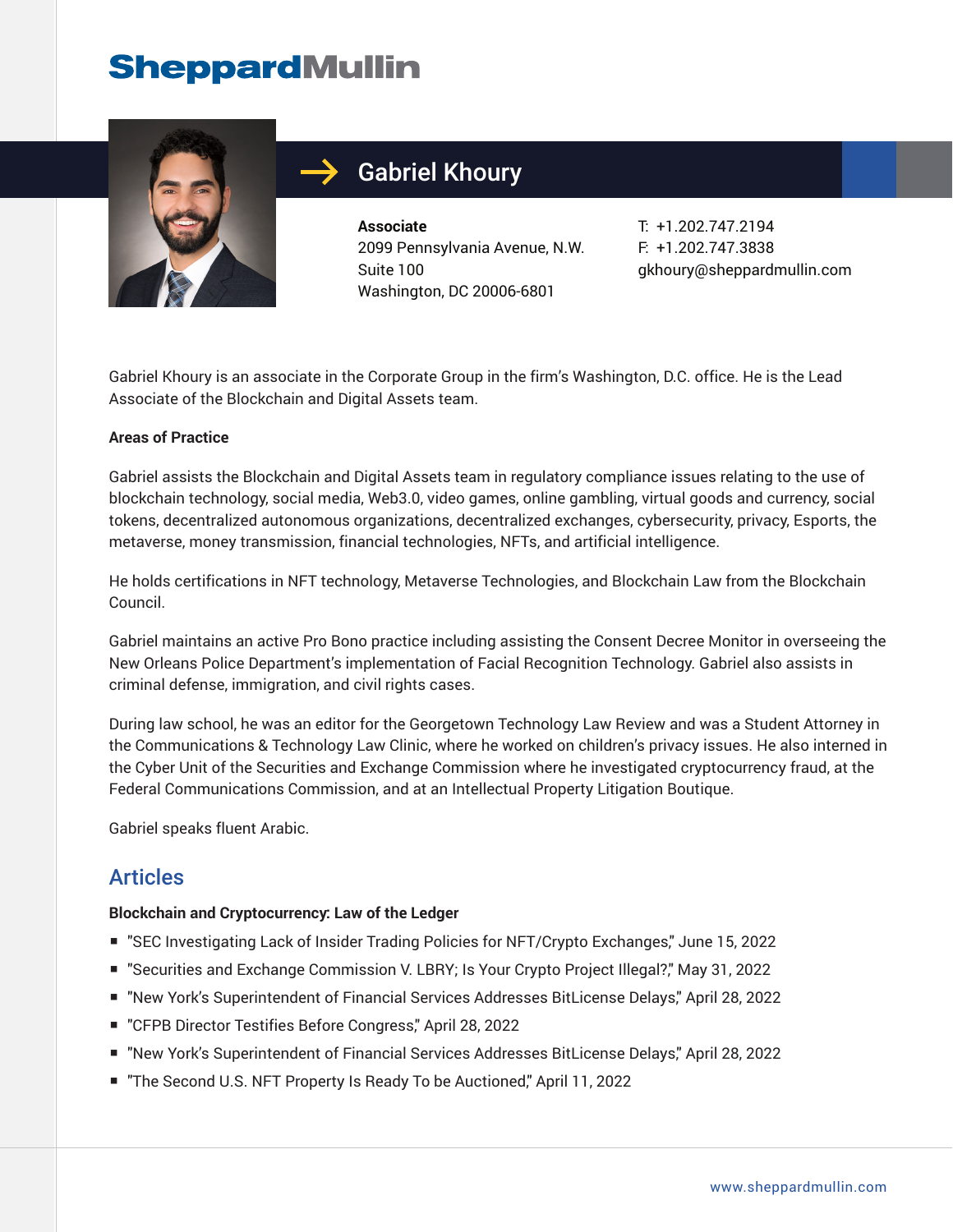

## Gabriel Khoury

**Associate** 2099 Pennsylvania Avenue, N.W. Suite 100 Washington, DC 20006-6801

T: +1.202.747.2194 F: +1.202.747.3838 gkhoury@sheppardmullin.com

Gabriel Khoury is an associate in the Corporate Group in the firm's Washington, D.C. office. He is the Lead Associate of the Blockchain and Digital Assets team.

#### **Areas of Practice**

Gabriel assists the Blockchain and Digital Assets team in regulatory compliance issues relating to the use of blockchain technology, social media, Web3.0, video games, online gambling, virtual goods and currency, social tokens, decentralized autonomous organizations, decentralized exchanges, cybersecurity, privacy, Esports, the metaverse, money transmission, financial technologies, NFTs, and artificial intelligence.

He holds certifications in NFT technology, Metaverse Technologies, and Blockchain Law from the Blockchain Council.

Gabriel maintains an active Pro Bono practice including assisting the Consent Decree Monitor in overseeing the New Orleans Police Department's implementation of Facial Recognition Technology. Gabriel also assists in criminal defense, immigration, and civil rights cases.

During law school, he was an editor for the Georgetown Technology Law Review and was a Student Attorney in the Communications & Technology Law Clinic, where he worked on children's privacy issues. He also interned in the Cyber Unit of the Securities and Exchange Commission where he investigated cryptocurrency fraud, at the Federal Communications Commission, and at an Intellectual Property Litigation Boutique.

Gabriel speaks fluent Arabic.

### Articles

#### **Blockchain and Cryptocurrency: Law of the Ledger**

- "SEC Investigating Lack of Insider Trading Policies for NFT/Crypto Exchanges," June 15, 2022
- "Securities and Exchange Commission V. LBRY; Is Your Crypto Project Illegal?," May 31, 2022
- "New York's Superintendent of Financial Services Addresses BitLicense Delays," April 28, 2022
- "CFPB Director Testifies Before Congress," April 28, 2022
- "New York's Superintendent of Financial Services Addresses BitLicense Delays," April 28, 2022
- "The Second U.S. NFT Property Is Ready To be Auctioned," April 11, 2022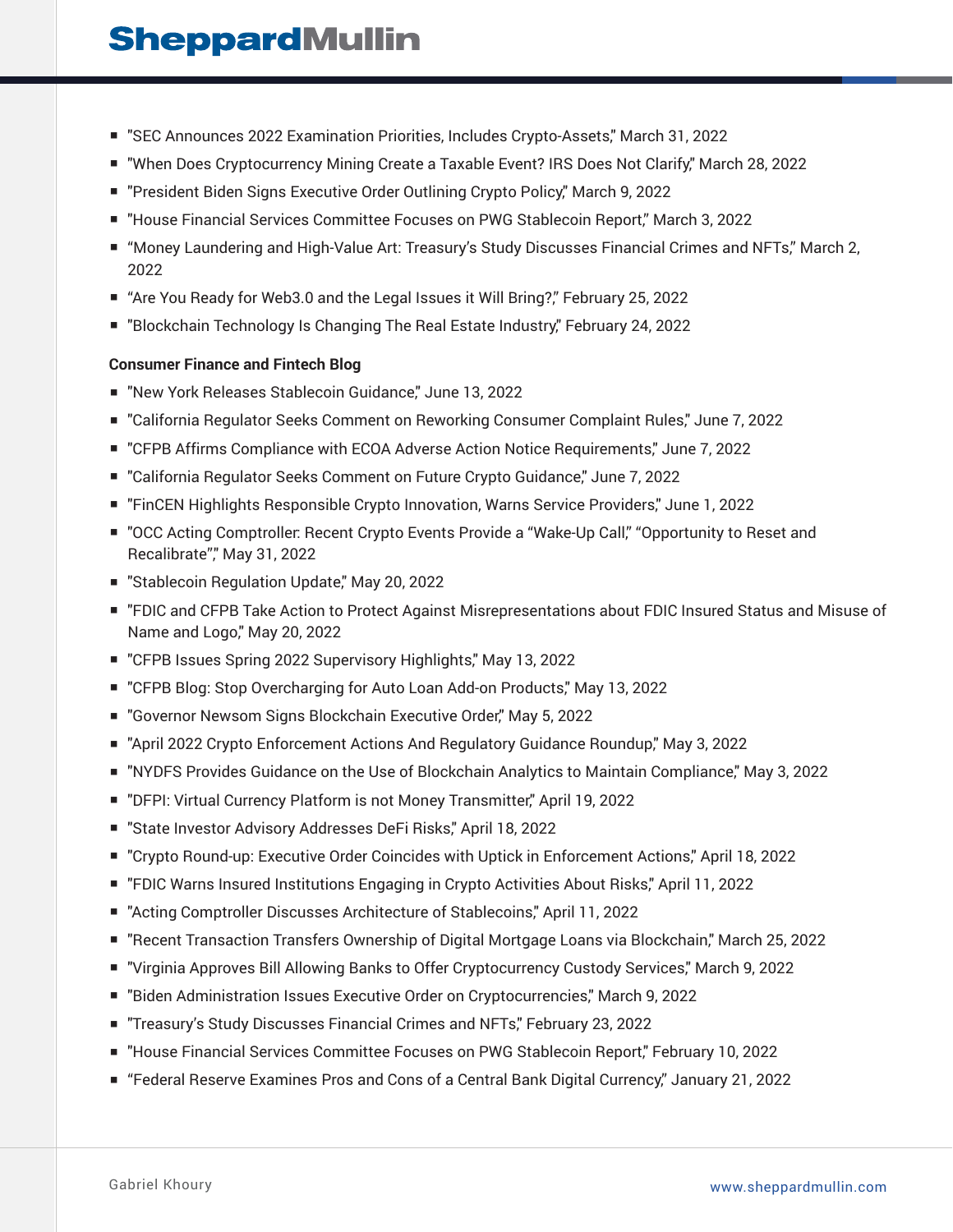- "SEC Announces 2022 Examination Priorities, Includes Crypto-Assets," March 31, 2022
- "When Does Cryptocurrency Mining Create a Taxable Event? IRS Does Not Clarify," March 28, 2022
- "President Biden Signs Executive Order Outlining Crypto Policy," March 9, 2022
- "House Financial Services Committee Focuses on PWG Stablecoin Report," March 3, 2022
- "Money Laundering and High-Value Art: Treasury's Study Discusses Financial Crimes and NFTs," March 2, 2022
- "Are You Ready for Web3.0 and the Legal Issues it Will Bring?," February 25, 2022
- "Blockchain Technology Is Changing The Real Estate Industry," February 24, 2022

#### **Consumer Finance and Fintech Blog**

- "New York Releases Stablecoin Guidance," June 13, 2022
- "California Regulator Seeks Comment on Reworking Consumer Complaint Rules," June 7, 2022
- "CFPB Affirms Compliance with ECOA Adverse Action Notice Requirements," June 7, 2022
- "California Regulator Seeks Comment on Future Crypto Guidance," June 7, 2022
- "FinCEN Highlights Responsible Crypto Innovation, Warns Service Providers," June 1, 2022
- "OCC Acting Comptroller: Recent Crypto Events Provide a "Wake-Up Call," "Opportunity to Reset and Recalibrate"," May 31, 2022
- "Stablecoin Regulation Update," May 20, 2022
- "FDIC and CFPB Take Action to Protect Against Misrepresentations about FDIC Insured Status and Misuse of Name and Logo," May 20, 2022
- "CFPB Issues Spring 2022 Supervisory Highlights," May 13, 2022
- "CFPB Blog: Stop Overcharging for Auto Loan Add-on Products," May 13, 2022
- "Governor Newsom Signs Blockchain Executive Order," May 5, 2022
- "April 2022 Crypto Enforcement Actions And Regulatory Guidance Roundup," May 3, 2022
- "NYDFS Provides Guidance on the Use of Blockchain Analytics to Maintain Compliance," May 3, 2022
- "DFPI: Virtual Currency Platform is not Money Transmitter," April 19, 2022
- "State Investor Advisory Addresses DeFi Risks," April 18, 2022
- "Crypto Round-up: Executive Order Coincides with Uptick in Enforcement Actions," April 18, 2022
- "FDIC Warns Insured Institutions Engaging in Crypto Activities About Risks," April 11, 2022
- "Acting Comptroller Discusses Architecture of Stablecoins," April 11, 2022
- "Recent Transaction Transfers Ownership of Digital Mortgage Loans via Blockchain," March 25, 2022
- "Virginia Approves Bill Allowing Banks to Offer Cryptocurrency Custody Services," March 9, 2022
- "Biden Administration Issues Executive Order on Cryptocurrencies," March 9, 2022
- "Treasury's Study Discusses Financial Crimes and NFTs," February 23, 2022
- "House Financial Services Committee Focuses on PWG Stablecoin Report," February 10, 2022
- "Federal Reserve Examines Pros and Cons of a Central Bank Digital Currency," January 21, 2022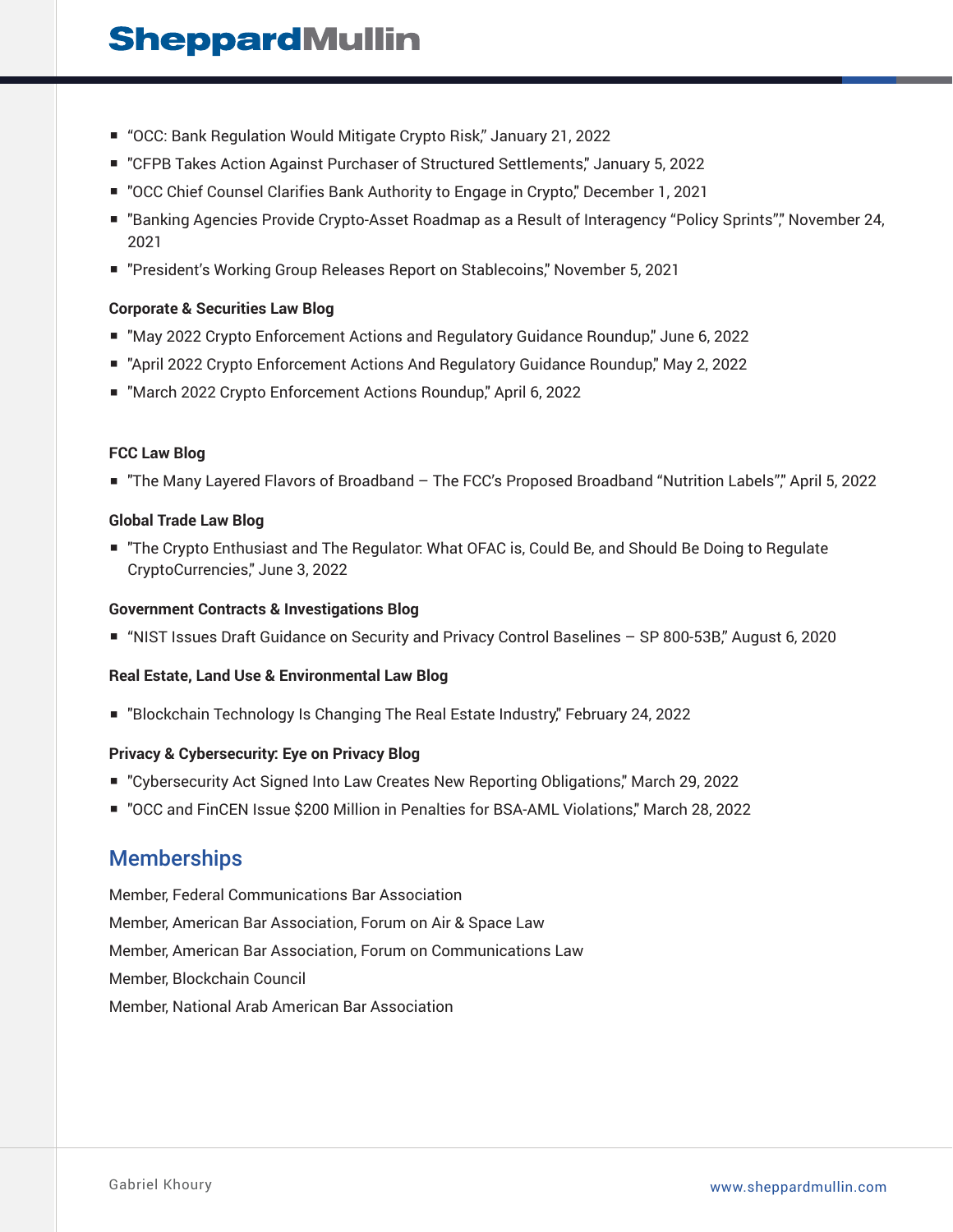- "OCC: Bank Regulation Would Mitigate Crypto Risk," January 21, 2022
- "CFPB Takes Action Against Purchaser of Structured Settlements," January 5, 2022
- "OCC Chief Counsel Clarifies Bank Authority to Engage in Crypto," December 1, 2021
- "Banking Agencies Provide Crypto-Asset Roadmap as a Result of Interagency "Policy Sprints"," November 24, 2021
- "President's Working Group Releases Report on Stablecoins," November 5, 2021

#### **Corporate & Securities Law Blog**

- "May 2022 Crypto Enforcement Actions and Regulatory Guidance Roundup," June 6, 2022
- "April 2022 Crypto Enforcement Actions And Regulatory Guidance Roundup," May 2, 2022
- "March 2022 Crypto Enforcement Actions Roundup," April 6, 2022

#### **FCC Law Blog**

■ "The Many Layered Flavors of Broadband – The FCC's Proposed Broadband "Nutrition Labels"," April 5, 2022

#### **Global Trade Law Blog**

■ "The Crypto Enthusiast and The Regulator: What OFAC is, Could Be, and Should Be Doing to Regulate CryptoCurrencies," June 3, 2022

#### **Government Contracts & Investigations Blog**

■ "NIST Issues Draft Guidance on Security and Privacy Control Baselines – SP 800-53B," August 6, 2020

#### **Real Estate, Land Use & Environmental Law Blog**

■ "Blockchain Technology Is Changing The Real Estate Industry," February 24, 2022

#### **Privacy & Cybersecurity: Eye on Privacy Blog**

- "Cybersecurity Act Signed Into Law Creates New Reporting Obligations," March 29, 2022
- "OCC and FinCEN Issue \$200 Million in Penalties for BSA-AML Violations," March 28, 2022

### **Memberships**

Member, Federal Communications Bar Association Member, American Bar Association, Forum on Air & Space Law Member, American Bar Association, Forum on Communications Law Member, Blockchain Council Member, National Arab American Bar Association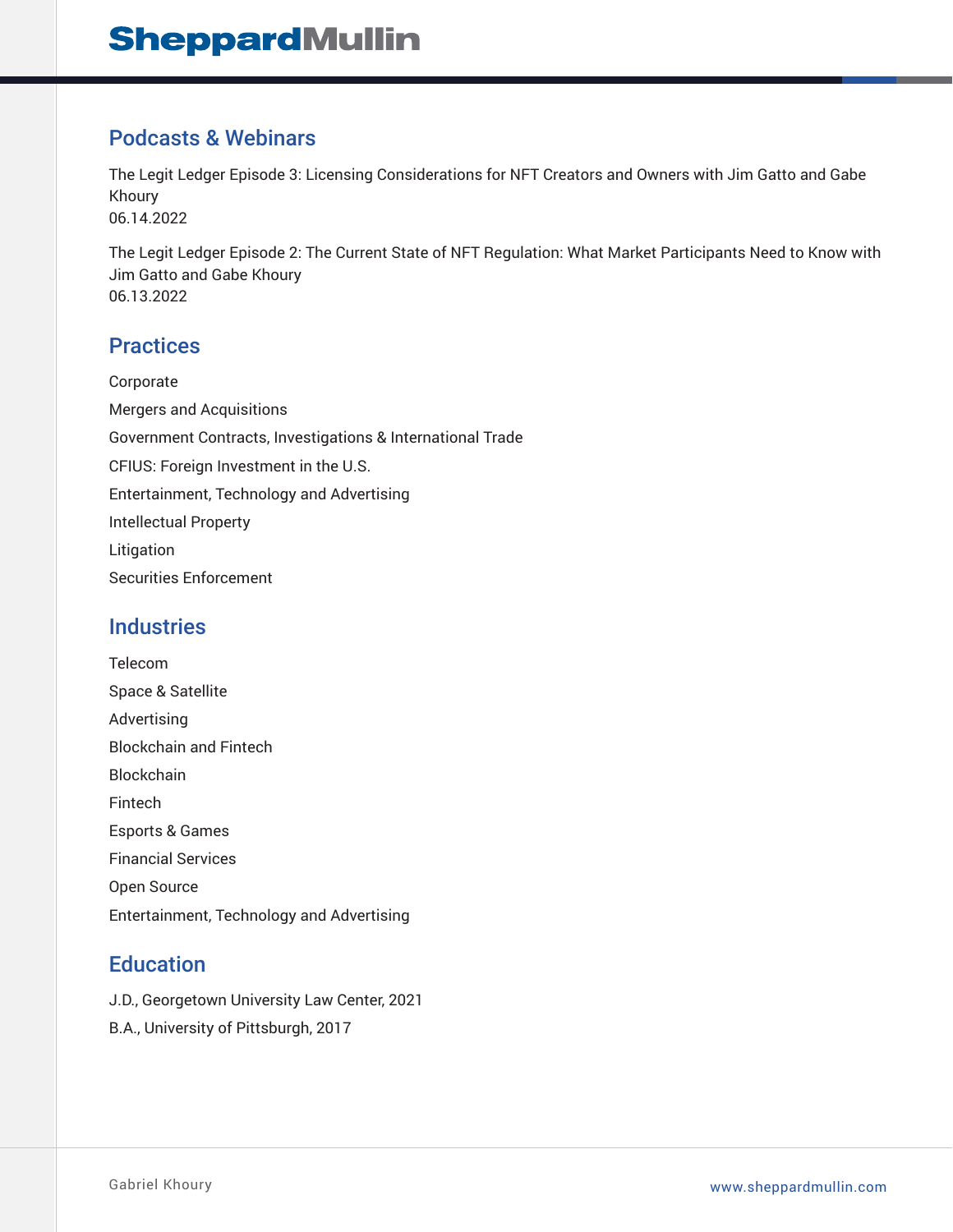### Podcasts & Webinars

The Legit Ledger Episode 3: Licensing Considerations for NFT Creators and Owners with Jim Gatto and Gabe Khoury 06.14.2022

The Legit Ledger Episode 2: The Current State of NFT Regulation: What Market Participants Need to Know with Jim Gatto and Gabe Khoury 06.13.2022

## **Practices**

Corporate Mergers and Acquisitions Government Contracts, Investigations & International Trade CFIUS: Foreign Investment in the U.S. Entertainment, Technology and Advertising Intellectual Property Litigation Securities Enforcement

### **Industries**

Telecom Space & Satellite Advertising Blockchain and Fintech Blockchain Fintech Esports & Games Financial Services Open Source Entertainment, Technology and Advertising

## **Education**

J.D., Georgetown University Law Center, 2021

B.A., University of Pittsburgh, 2017